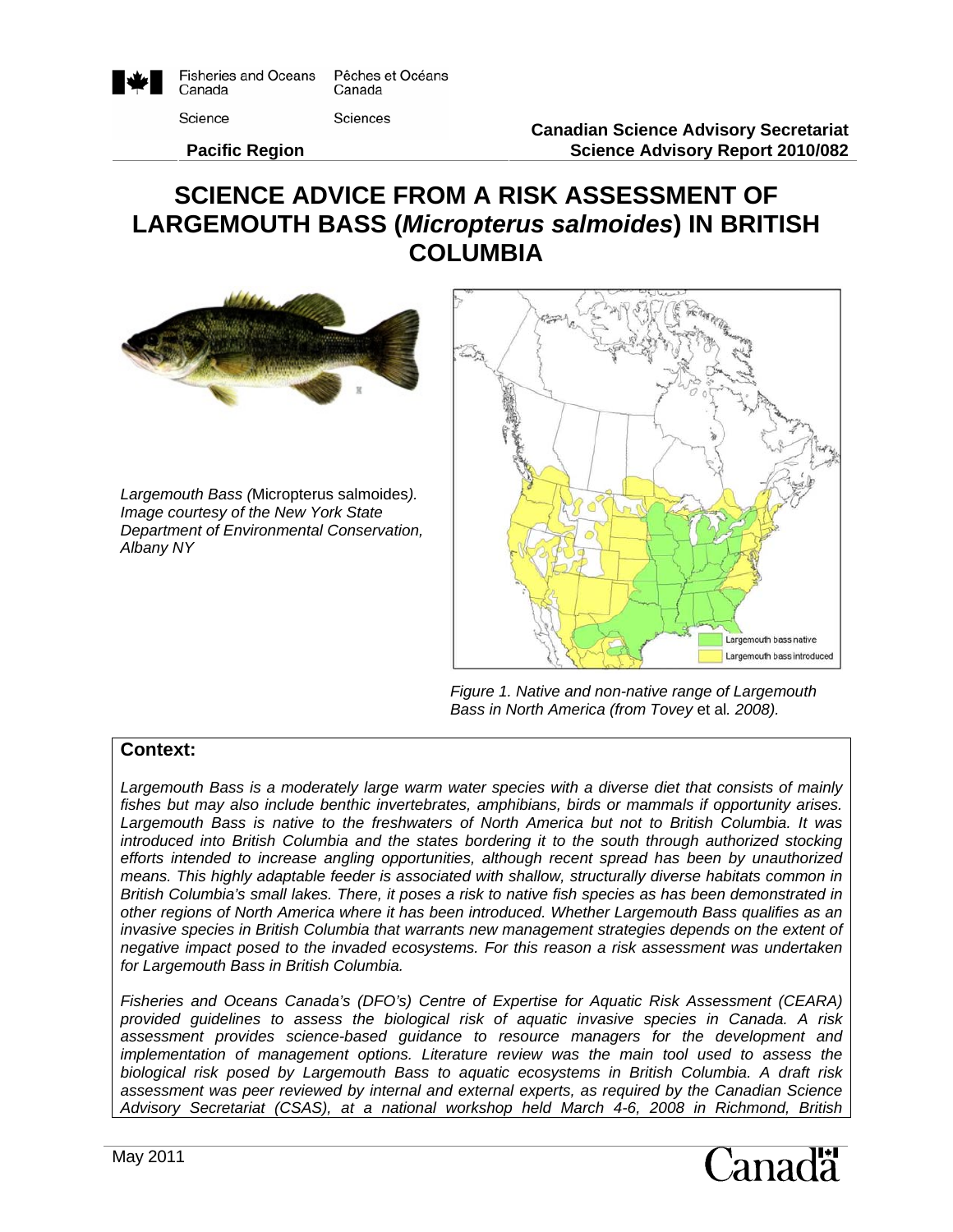

**Fisheries and Oceans** Pêches et Océans Canada Canada

Science

**Sciences** 

 **Pacific Region** 

# **SCIENCE ADVICE FROM A RISK ASSESSMENT OF LARGEMOUTH BASS (***Micropterus salmoides***) IN BRITISH COLUMBIA**



*Largemouth Bass (*Micropterus salmoides*). Image courtesy of the New York State Department of Environmental Conservation, Albany NY* 



*Figure 1. Native and non-native range of Largemouth Bass in North America (from Tovey* et al*. 2008).*

#### **Context:**

Largemouth Bass is a moderately large warm water species with a diverse diet that consists of mainly *fishes but may also include benthic invertebrates, amphibians, birds or mammals if opportunity arises. Largemouth Bass is native to the freshwaters of North America but not to British Columbia. It was introduced into British Columbia and the states bordering it to the south through authorized stocking efforts intended to increase angling opportunities, although recent spread has been by unauthorized means. This highly adaptable feeder is associated with shallow, structurally diverse habitats common in British Columbia's small lakes. There, it poses a risk to native fish species as has been demonstrated in other regions of North America where it has been introduced. Whether Largemouth Bass qualifies as an*  invasive species in British Columbia that warrants new management strategies depends on the extent of *negative impact posed to the invaded ecosystems. For this reason a risk assessment was undertaken for Largemouth Bass in British Columbia.* 

*Fisheries and Oceans Canada's (DFO's) Centre of Expertise for Aquatic Risk Assessment (CEARA) provided guidelines to assess the biological risk of aquatic invasive species in Canada. A risk assessment provides science-based guidance to resource managers for the development and implementation of management options. Literature review was the main tool used to assess the biological risk posed by Largemouth Bass to aquatic ecosystems in British Columbia. A draft risk assessment was peer reviewed by internal and external experts, as required by the Canadian Science Advisory Secretariat (CSAS), at a national workshop held March 4-6, 2008 in Richmond, British* 

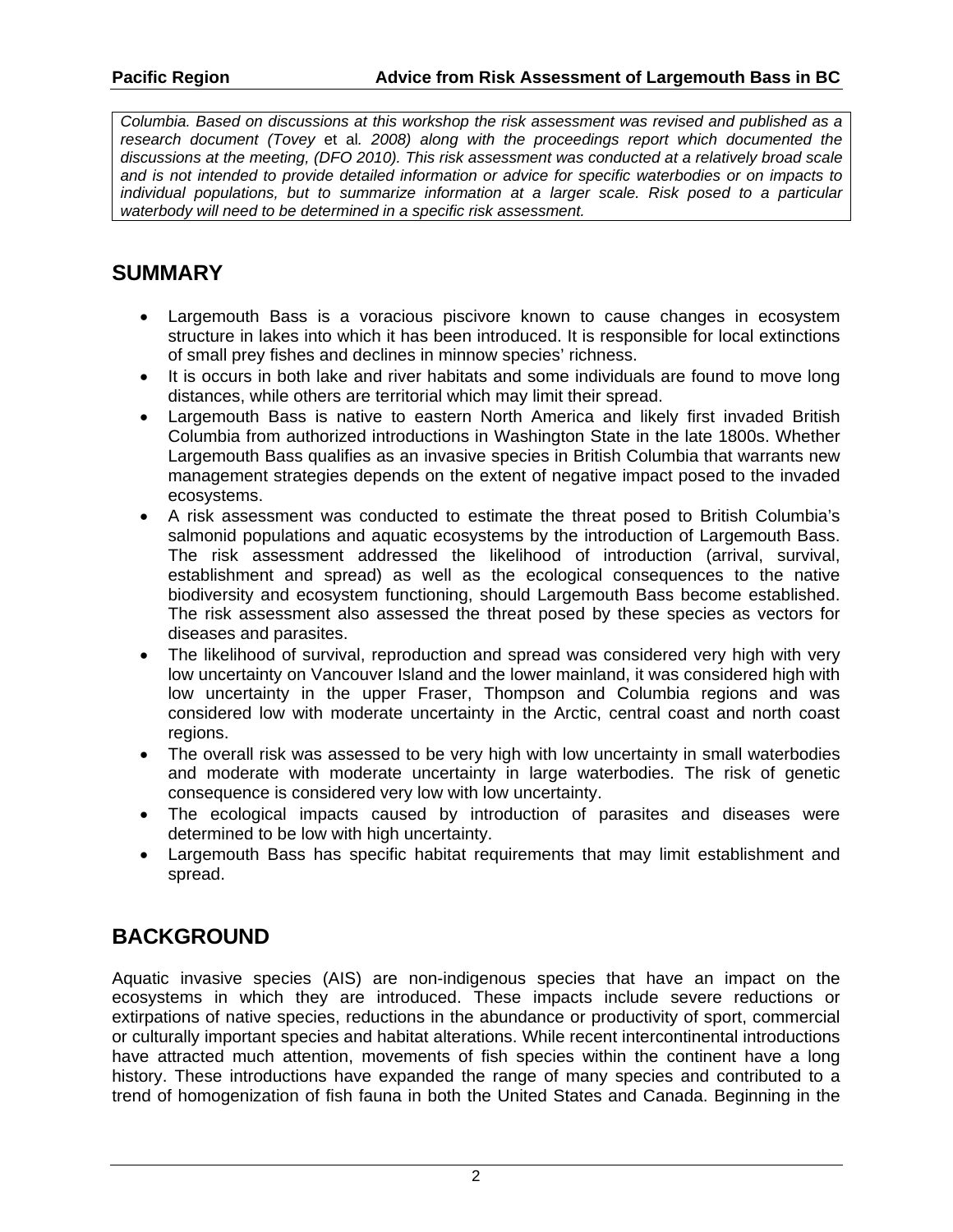*Columbia. Based on discussions at this workshop the risk assessment was revised and published as a research document (Tovey* et al*. 2008) along with the proceedings report which documented the discussions at the meeting, (DFO 2010). This risk assessment was conducted at a relatively broad scale and is not intended to provide detailed information or advice for specific waterbodies or on impacts to individual populations, but to summarize information at a larger scale. Risk posed to a particular waterbody will need to be determined in a specific risk assessment.*

#### **SUMMARY**

- Largemouth Bass is a voracious piscivore known to cause changes in ecosystem structure in lakes into which it has been introduced. It is responsible for local extinctions of small prey fishes and declines in minnow species' richness.
- It is occurs in both lake and river habitats and some individuals are found to move long distances, while others are territorial which may limit their spread.
- Largemouth Bass is native to eastern North America and likely first invaded British Columbia from authorized introductions in Washington State in the late 1800s. Whether Largemouth Bass qualifies as an invasive species in British Columbia that warrants new management strategies depends on the extent of negative impact posed to the invaded ecosystems.
- A risk assessment was conducted to estimate the threat posed to British Columbia's salmonid populations and aquatic ecosystems by the introduction of Largemouth Bass. The risk assessment addressed the likelihood of introduction (arrival, survival, establishment and spread) as well as the ecological consequences to the native biodiversity and ecosystem functioning, should Largemouth Bass become established. The risk assessment also assessed the threat posed by these species as vectors for diseases and parasites.
- The likelihood of survival, reproduction and spread was considered very high with very low uncertainty on Vancouver Island and the lower mainland, it was considered high with low uncertainty in the upper Fraser, Thompson and Columbia regions and was considered low with moderate uncertainty in the Arctic, central coast and north coast regions.
- The overall risk was assessed to be very high with low uncertainty in small waterbodies and moderate with moderate uncertainty in large waterbodies. The risk of genetic consequence is considered very low with low uncertainty.
- The ecological impacts caused by introduction of parasites and diseases were determined to be low with high uncertainty.
- Largemouth Bass has specific habitat requirements that may limit establishment and spread.

# **BACKGROUND**

Aquatic invasive species (AIS) are non-indigenous species that have an impact on the ecosystems in which they are introduced. These impacts include severe reductions or extirpations of native species, reductions in the abundance or productivity of sport, commercial or culturally important species and habitat alterations. While recent intercontinental introductions have attracted much attention, movements of fish species within the continent have a long history. These introductions have expanded the range of many species and contributed to a trend of homogenization of fish fauna in both the United States and Canada. Beginning in the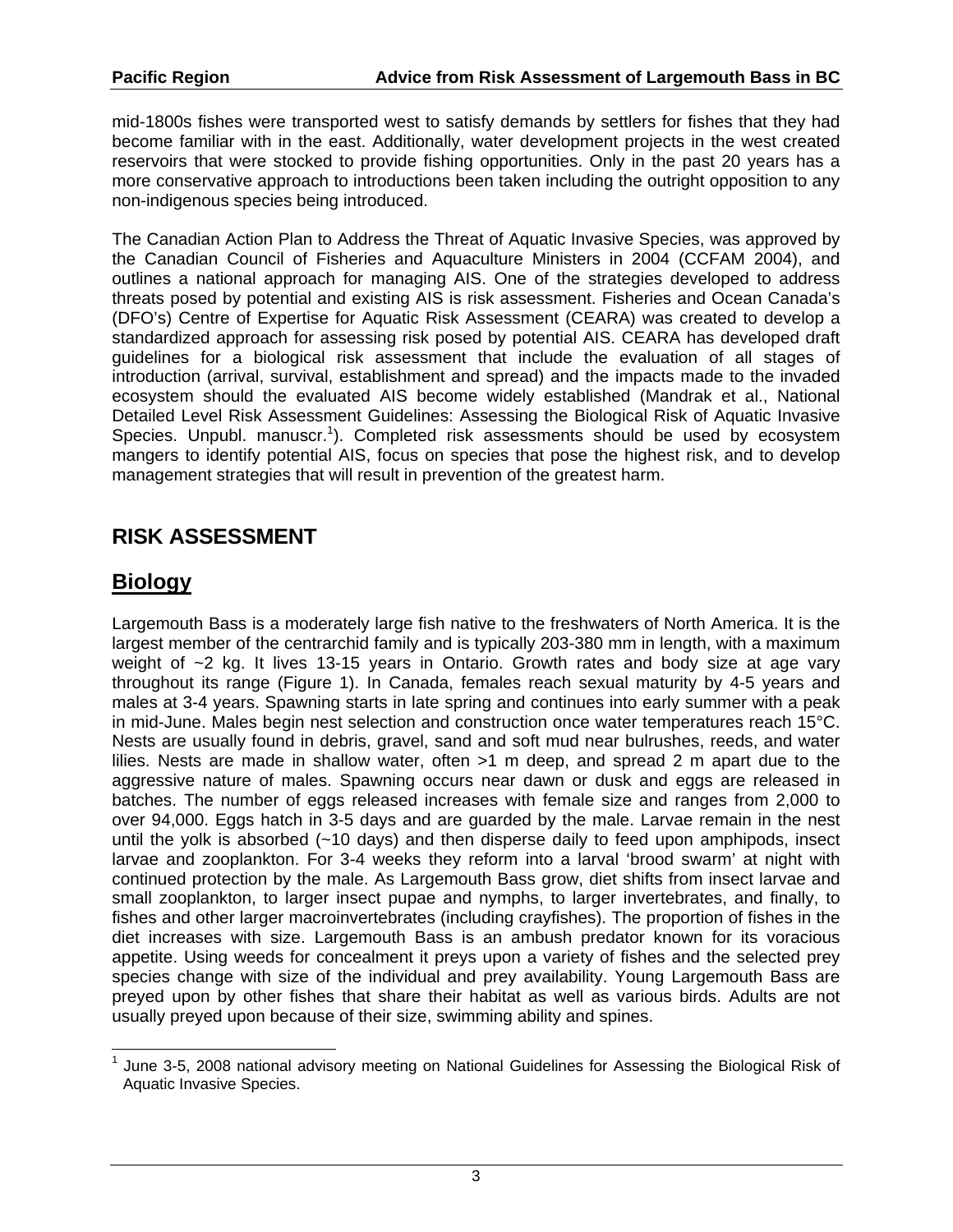mid-1800s fishes were transported west to satisfy demands by settlers for fishes that they had become familiar with in the east. Additionally, water development projects in the west created reservoirs that were stocked to provide fishing opportunities. Only in the past 20 years has a more conservative approach to introductions been taken including the outright opposition to any non-indigenous species being introduced.

The Canadian Action Plan to Address the Threat of Aquatic Invasive Species, was approved by the Canadian Council of Fisheries and Aquaculture Ministers in 2004 (CCFAM 2004), and outlines a national approach for managing AIS. One of the strategies developed to address threats posed by potential and existing AIS is risk assessment. Fisheries and Ocean Canada's (DFO's) Centre of Expertise for Aquatic Risk Assessment (CEARA) was created to develop a standardized approach for assessing risk posed by potential AIS. CEARA has developed draft guidelines for a biological risk assessment that include the evaluation of all stages of introduction (arrival, survival, establishment and spread) and the impacts made to the invaded ecosystem should the evaluated AIS become widely established (Mandrak et al., National Detailed Level Risk Assessment Guidelines: Assessing the Biological Risk of Aquatic Invasive Species. Unpubl. manuscr.<sup>1</sup>). Completed risk assessments should be used by ecosystem mangers to identify potential AIS, focus on species that pose the highest risk, and to develop management strategies that will result in prevention of the greatest harm.

# **RISK ASSESSMENT**

# **Biology**

Largemouth Bass is a moderately large fish native to the freshwaters of North America. It is the largest member of the centrarchid family and is typically 203-380 mm in length, with a maximum weight of ~2 kg. It lives 13-15 years in Ontario. Growth rates and body size at age vary throughout its range (Figure 1). In Canada, females reach sexual maturity by 4-5 years and males at 3-4 years. Spawning starts in late spring and continues into early summer with a peak in mid-June. Males begin nest selection and construction once water temperatures reach 15°C. Nests are usually found in debris, gravel, sand and soft mud near bulrushes, reeds, and water lilies. Nests are made in shallow water, often >1 m deep, and spread 2 m apart due to the aggressive nature of males. Spawning occurs near dawn or dusk and eggs are released in batches. The number of eggs released increases with female size and ranges from 2,000 to over 94,000. Eggs hatch in 3-5 days and are guarded by the male. Larvae remain in the nest until the yolk is absorbed (~10 days) and then disperse daily to feed upon amphipods, insect larvae and zooplankton. For 3-4 weeks they reform into a larval 'brood swarm' at night with continued protection by the male. As Largemouth Bass grow, diet shifts from insect larvae and small zooplankton, to larger insect pupae and nymphs, to larger invertebrates, and finally, to fishes and other larger macroinvertebrates (including crayfishes). The proportion of fishes in the diet increases with size. Largemouth Bass is an ambush predator known for its voracious appetite. Using weeds for concealment it preys upon a variety of fishes and the selected prey species change with size of the individual and prey availability. Young Largemouth Bass are preyed upon by other fishes that share their habitat as well as various birds. Adults are not usually preyed upon because of their size, swimming ability and spines.

  $1$  June 3-5, 2008 national advisory meeting on National Guidelines for Assessing the Biological Risk of Aquatic Invasive Species.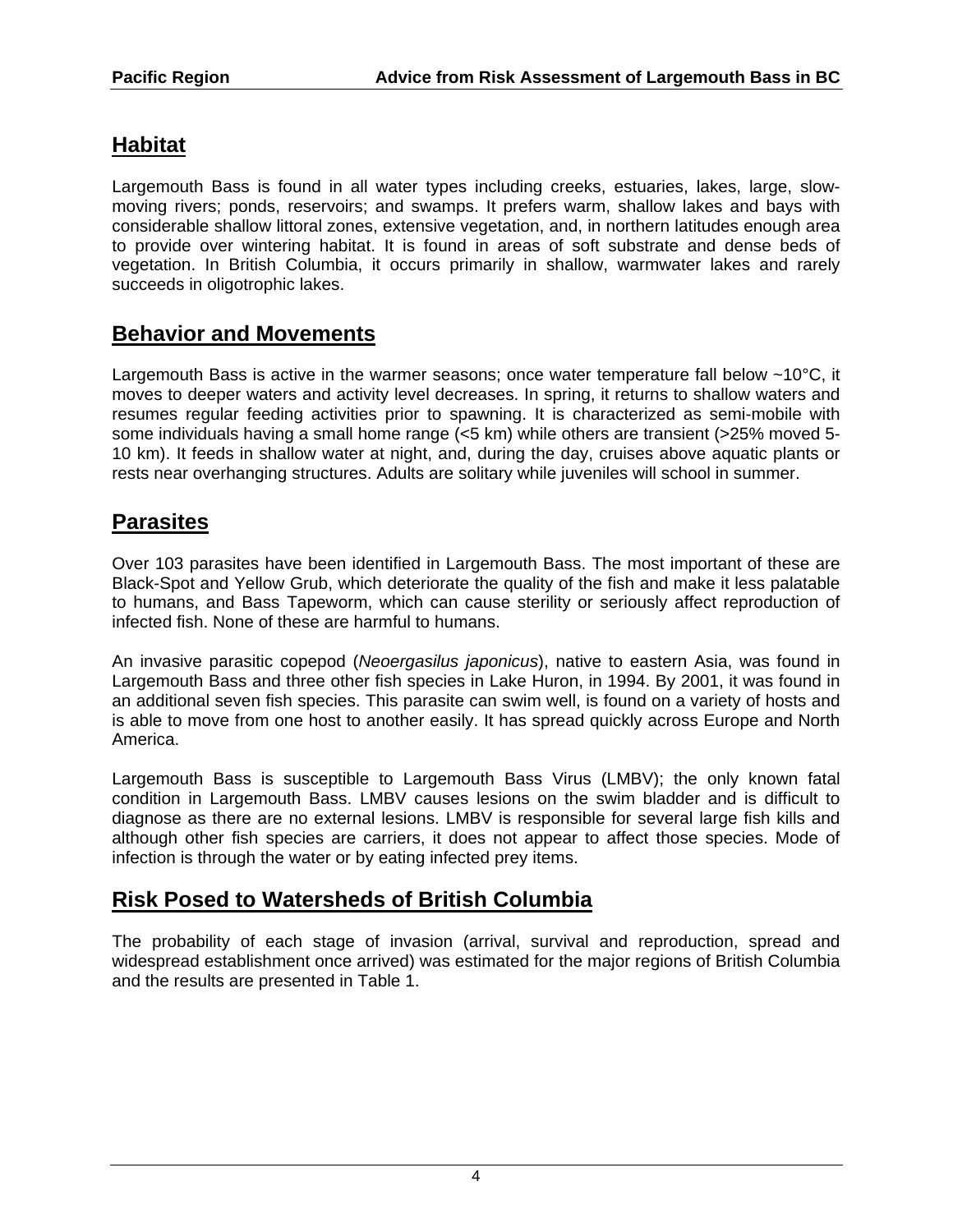# **Habitat**

Largemouth Bass is found in all water types including creeks, estuaries, lakes, large, slowmoving rivers; ponds, reservoirs; and swamps. It prefers warm, shallow lakes and bays with considerable shallow littoral zones, extensive vegetation, and, in northern latitudes enough area to provide over wintering habitat. It is found in areas of soft substrate and dense beds of vegetation. In British Columbia, it occurs primarily in shallow, warmwater lakes and rarely succeeds in oligotrophic lakes.

### **Behavior and Movements**

Largemouth Bass is active in the warmer seasons; once water temperature fall below ~10°C, it moves to deeper waters and activity level decreases. In spring, it returns to shallow waters and resumes regular feeding activities prior to spawning. It is characterized as semi-mobile with some individuals having a small home range (<5 km) while others are transient (>25% moved 5- 10 km). It feeds in shallow water at night, and, during the day, cruises above aquatic plants or rests near overhanging structures. Adults are solitary while juveniles will school in summer.

### **Parasites**

Over 103 parasites have been identified in Largemouth Bass. The most important of these are Black-Spot and Yellow Grub, which deteriorate the quality of the fish and make it less palatable to humans, and Bass Tapeworm, which can cause sterility or seriously affect reproduction of infected fish. None of these are harmful to humans.

An invasive parasitic copepod (*Neoergasilus japonicus*), native to eastern Asia, was found in Largemouth Bass and three other fish species in Lake Huron, in 1994. By 2001, it was found in an additional seven fish species. This parasite can swim well, is found on a variety of hosts and is able to move from one host to another easily. It has spread quickly across Europe and North America.

Largemouth Bass is susceptible to Largemouth Bass Virus (LMBV); the only known fatal condition in Largemouth Bass. LMBV causes lesions on the swim bladder and is difficult to diagnose as there are no external lesions. LMBV is responsible for several large fish kills and although other fish species are carriers, it does not appear to affect those species. Mode of infection is through the water or by eating infected prey items.

### **Risk Posed to Watersheds of British Columbia**

The probability of each stage of invasion (arrival, survival and reproduction, spread and widespread establishment once arrived) was estimated for the major regions of British Columbia and the results are presented in Table 1.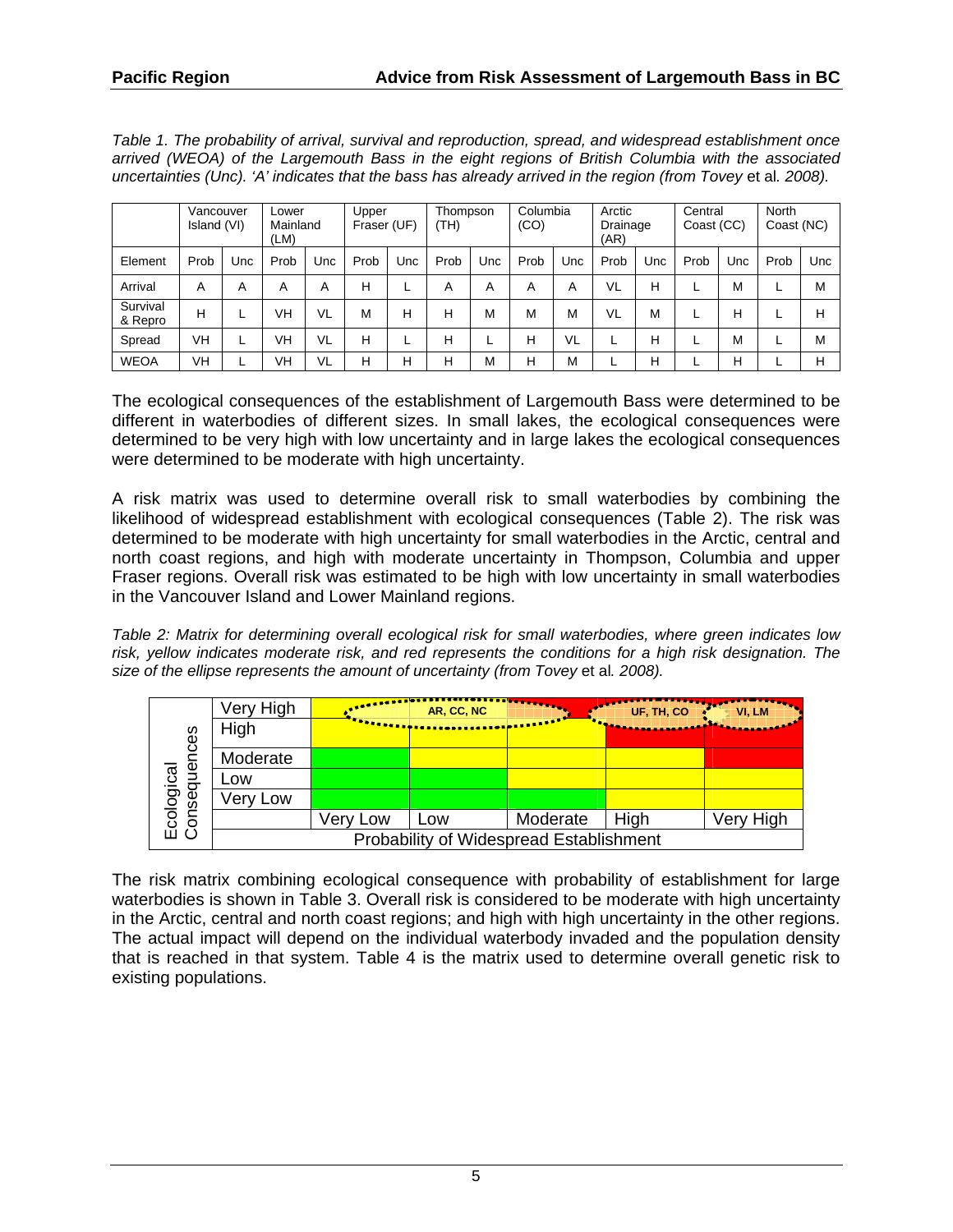*Table 1. The probability of arrival, survival and reproduction, spread, and widespread establishment once arrived (WEOA) of the Largemouth Bass in the eight regions of British Columbia with the associated uncertainties (Unc). 'A' indicates that the bass has already arrived in the region (from Tovey et al. 2008).* 

|                     | Vancouver<br>Island (VI) |     | Lower<br>Mainland<br>(LM) |     | Upper<br>Fraser (UF) |     | Thompson<br>(TH) |     | Columbia<br>(CO) |     | Arctic<br>Drainage<br>(AR) |     | Central<br>Coast (CC) |     | North<br>Coast (NC) |     |
|---------------------|--------------------------|-----|---------------------------|-----|----------------------|-----|------------------|-----|------------------|-----|----------------------------|-----|-----------------------|-----|---------------------|-----|
| Element             | Prob                     | Jnc | Prob                      | Unc | Prob                 | Unc | Prob             | Unc | Prob             | Unc | Prob                       | Unc | Prob                  | Unc | Prob                | Unc |
| Arrival             | A                        | A   | A                         | Α   | Н                    | ►   | Α                | A   | Α                | Α   | VL                         | н   |                       | М   |                     | M   |
| Survival<br>& Repro | H                        |     | VH                        | VL  | M                    | н   | н                | M   | М                | M   | <b>VL</b>                  | М   |                       | н   |                     | н   |
| Spread              | VH                       |     | VH                        | VL  | Н                    |     | н                |     | н                | VL  | ட                          | н   |                       | Μ   |                     | M   |
| <b>WEOA</b>         | VH                       |     | VH                        | VL  | н                    | н   | н                | M   | н                | M   |                            | н   |                       | Н   |                     | н   |

The ecological consequences of the establishment of Largemouth Bass were determined to be different in waterbodies of different sizes. In small lakes, the ecological consequences were determined to be very high with low uncertainty and in large lakes the ecological consequences were determined to be moderate with high uncertainty.

A risk matrix was used to determine overall risk to small waterbodies by combining the likelihood of widespread establishment with ecological consequences (Table 2). The risk was determined to be moderate with high uncertainty for small waterbodies in the Arctic, central and north coast regions, and high with moderate uncertainty in Thompson, Columbia and upper Fraser regions. Overall risk was estimated to be high with low uncertainty in small waterbodies in the Vancouver Island and Lower Mainland regions.

*Table 2: Matrix for determining overall ecological risk for small waterbodies, where green indicates low risk, yellow indicates moderate risk, and red represents the conditions for a high risk designation. The size of the ellipse represents the amount of uncertainty (from Tovey* et al*. 2008).* 

|                                 | Very High                               |                           | AR, CC, NC |          | UF, TH, CO | VI, LM           |  |  |  |  |
|---------------------------------|-----------------------------------------|---------------------------|------------|----------|------------|------------------|--|--|--|--|
| rces<br>Ecological<br>Consequer | High                                    | <b>The State of Books</b> |            |          |            | <b>Bradfield</b> |  |  |  |  |
|                                 | Moderate                                |                           |            |          |            |                  |  |  |  |  |
|                                 | Low                                     |                           |            |          |            |                  |  |  |  |  |
|                                 | Very Low                                |                           |            |          |            |                  |  |  |  |  |
|                                 |                                         | Very Low                  | LOW        | Moderate | High       | Very High        |  |  |  |  |
|                                 | Probability of Widespread Establishment |                           |            |          |            |                  |  |  |  |  |

The risk matrix combining ecological consequence with probability of establishment for large waterbodies is shown in Table 3. Overall risk is considered to be moderate with high uncertainty in the Arctic, central and north coast regions; and high with high uncertainty in the other regions. The actual impact will depend on the individual waterbody invaded and the population density that is reached in that system. Table 4 is the matrix used to determine overall genetic risk to existing populations.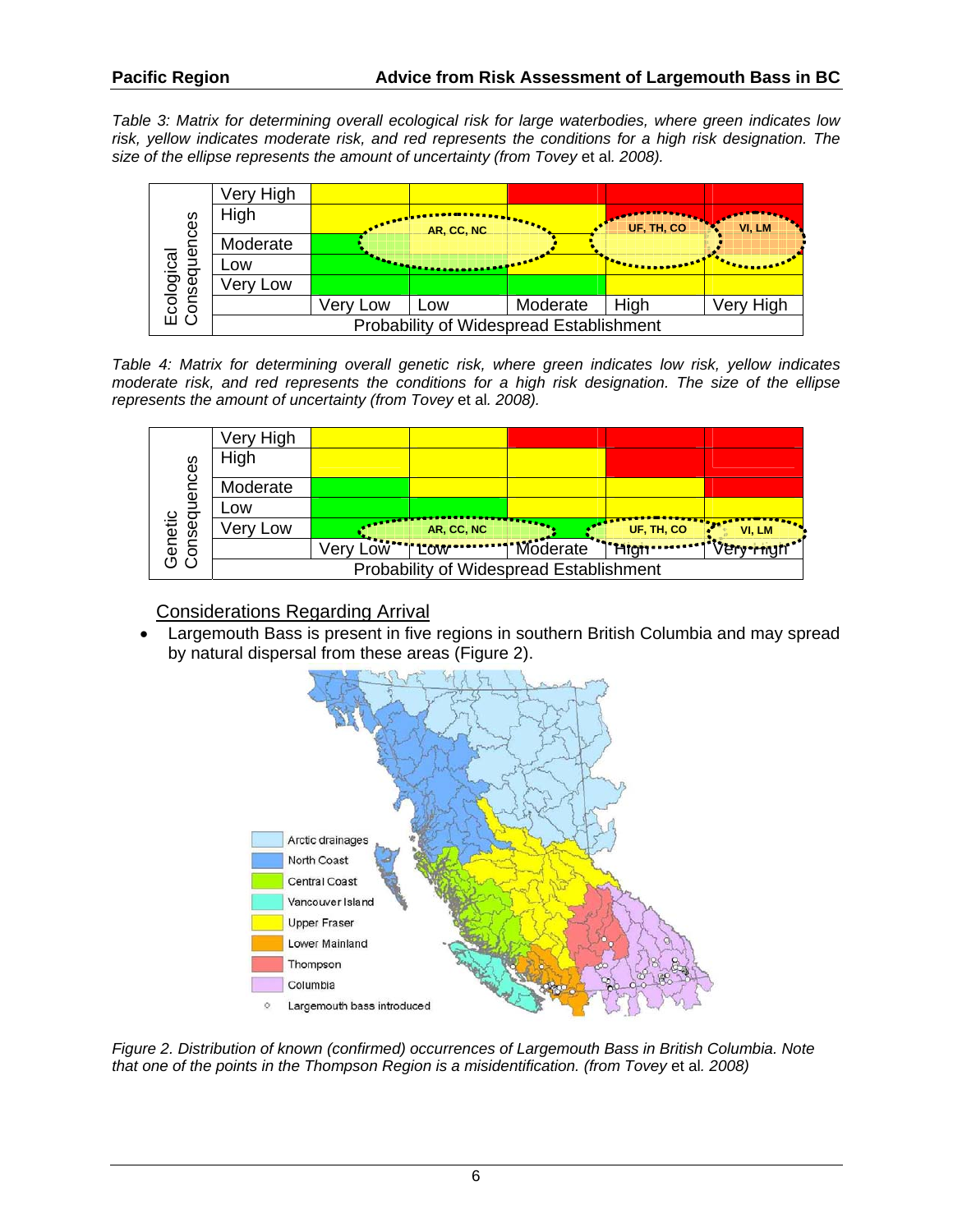*Table 3: Matrix for determining overall ecological risk for large waterbodies, where green indicates low risk, yellow indicates moderate risk, and red represents the conditions for a high risk designation. The size of the ellipse represents the amount of uncertainty (from Tovey* et al*. 2008).* 



*Table 4: Matrix for determining overall genetic risk, where green indicates low risk, yellow indicates moderate risk, and red represents the conditions for a high risk designation. The size of the ellipse represents the amount of uncertainty (from Tovey* et al*. 2008).* 

| Genetic<br>Consequences | Very High                               |             |                         |                |            |        |  |  |  |  |
|-------------------------|-----------------------------------------|-------------|-------------------------|----------------|------------|--------|--|--|--|--|
|                         | High                                    |             |                         |                |            |        |  |  |  |  |
|                         | Moderate                                |             |                         |                |            |        |  |  |  |  |
|                         | LOW                                     |             |                         |                |            |        |  |  |  |  |
|                         | Very Low                                |             | AR, CC, NC              |                | UF, TH, CO | VI, LM |  |  |  |  |
|                         |                                         | $\sqrt{er}$ | <b><u>AW''TLOW'</u></b> | www.j'Moderate |            |        |  |  |  |  |
|                         | Probability of Widespread Establishment |             |                         |                |            |        |  |  |  |  |

Considerations Regarding Arrival

 Largemouth Bass is present in five regions in southern British Columbia and may spread by natural dispersal from these areas (Figure 2).



*Figure 2. Distribution of known (confirmed) occurrences of Largemouth Bass in British Columbia. Note that one of the points in the Thompson Region is a misidentification. (from Tovey* et al*. 2008)*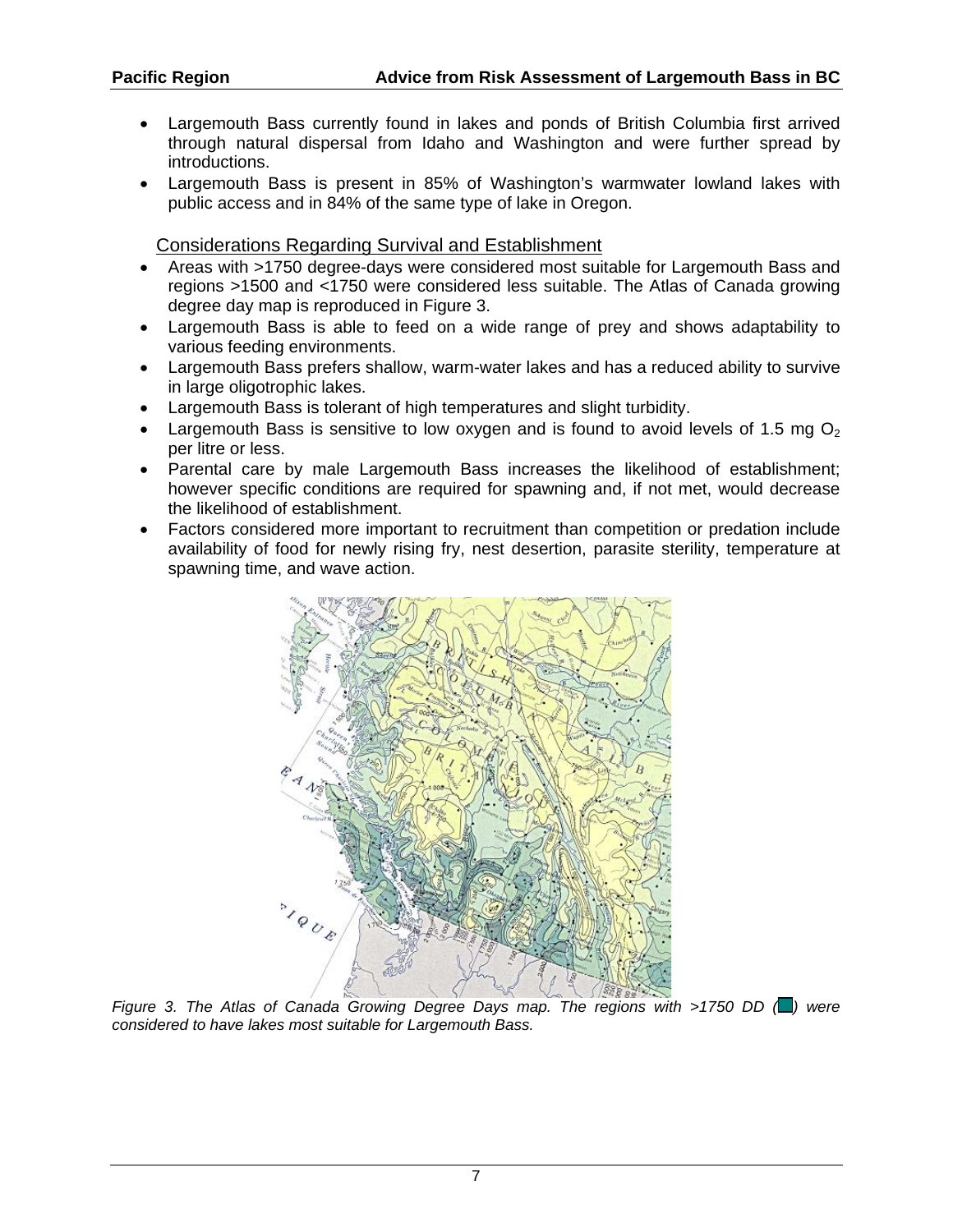- Largemouth Bass currently found in lakes and ponds of British Columbia first arrived through natural dispersal from Idaho and Washington and were further spread by introductions.
- Largemouth Bass is present in 85% of Washington's warmwater lowland lakes with public access and in 84% of the same type of lake in Oregon.

Considerations Regarding Survival and Establishment

- Areas with >1750 degree-days were considered most suitable for Largemouth Bass and regions >1500 and <1750 were considered less suitable. The Atlas of Canada growing degree day map is reproduced in Figure 3.
- Largemouth Bass is able to feed on a wide range of prey and shows adaptability to various feeding environments.
- Largemouth Bass prefers shallow, warm-water lakes and has a reduced ability to survive in large oligotrophic lakes.
- Largemouth Bass is tolerant of high temperatures and slight turbidity.
- Largemouth Bass is sensitive to low oxygen and is found to avoid levels of 1.5 mg  $O<sub>2</sub>$ per litre or less.
- Parental care by male Largemouth Bass increases the likelihood of establishment; however specific conditions are required for spawning and, if not met, would decrease the likelihood of establishment.
- Factors considered more important to recruitment than competition or predation include availability of food for newly rising fry, nest desertion, parasite sterility, temperature at spawning time, and wave action.



*Figure 3. The Atlas of Canada Growing Degree Days map. The regions with >1750 DD (...)* were *considered to have lakes most suitable for Largemouth Bass.*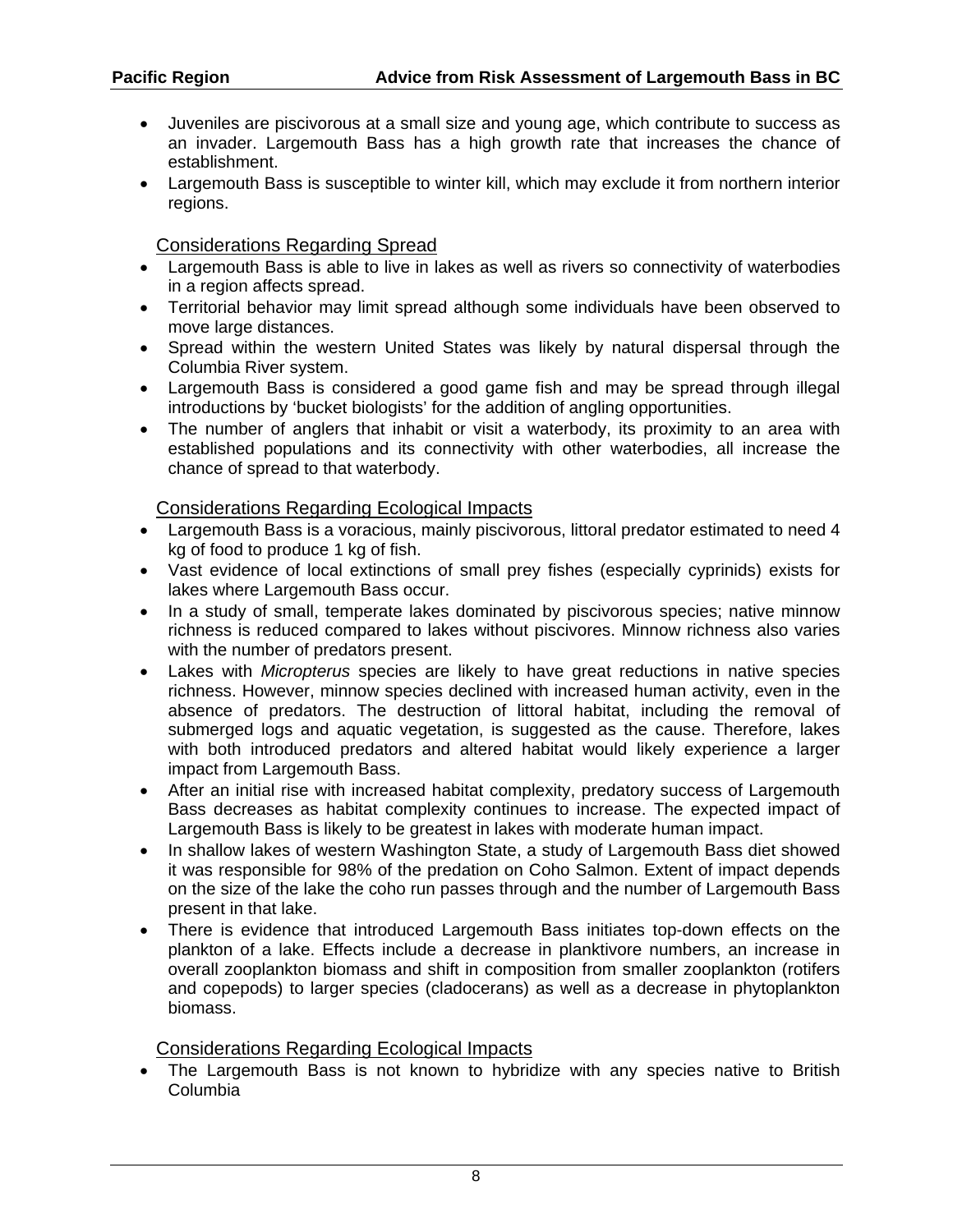- Juveniles are piscivorous at a small size and young age, which contribute to success as an invader. Largemouth Bass has a high growth rate that increases the chance of establishment.
- Largemouth Bass is susceptible to winter kill, which may exclude it from northern interior regions.

Considerations Regarding Spread

- Largemouth Bass is able to live in lakes as well as rivers so connectivity of waterbodies in a region affects spread.
- Territorial behavior may limit spread although some individuals have been observed to move large distances.
- Spread within the western United States was likely by natural dispersal through the Columbia River system.
- Largemouth Bass is considered a good game fish and may be spread through illegal introductions by 'bucket biologists' for the addition of angling opportunities.
- The number of anglers that inhabit or visit a waterbody, its proximity to an area with established populations and its connectivity with other waterbodies, all increase the chance of spread to that waterbody.

#### Considerations Regarding Ecological Impacts

- Largemouth Bass is a voracious, mainly piscivorous, littoral predator estimated to need 4 kg of food to produce 1 kg of fish.
- Vast evidence of local extinctions of small prey fishes (especially cyprinids) exists for lakes where Largemouth Bass occur.
- In a study of small, temperate lakes dominated by piscivorous species; native minnow richness is reduced compared to lakes without piscivores. Minnow richness also varies with the number of predators present.
- Lakes with *Micropterus* species are likely to have great reductions in native species richness. However, minnow species declined with increased human activity, even in the absence of predators. The destruction of littoral habitat, including the removal of submerged logs and aquatic vegetation, is suggested as the cause. Therefore, lakes with both introduced predators and altered habitat would likely experience a larger impact from Largemouth Bass.
- After an initial rise with increased habitat complexity, predatory success of Largemouth Bass decreases as habitat complexity continues to increase. The expected impact of Largemouth Bass is likely to be greatest in lakes with moderate human impact.
- In shallow lakes of western Washington State, a study of Largemouth Bass diet showed it was responsible for 98% of the predation on Coho Salmon. Extent of impact depends on the size of the lake the coho run passes through and the number of Largemouth Bass present in that lake.
- There is evidence that introduced Largemouth Bass initiates top-down effects on the plankton of a lake. Effects include a decrease in planktivore numbers, an increase in overall zooplankton biomass and shift in composition from smaller zooplankton (rotifers and copepods) to larger species (cladocerans) as well as a decrease in phytoplankton biomass.

#### Considerations Regarding Ecological Impacts

• The Largemouth Bass is not known to hybridize with any species native to British Columbia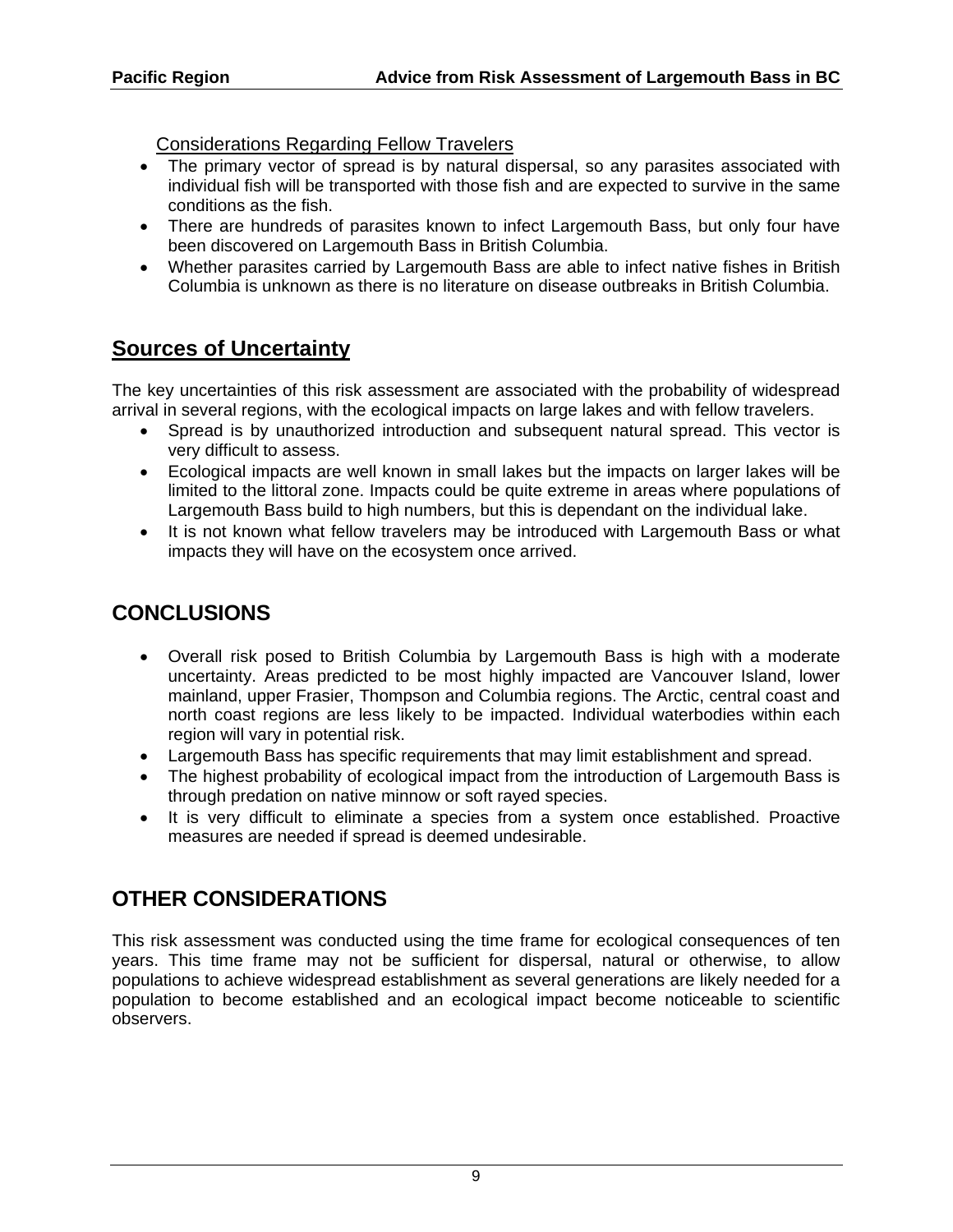Considerations Regarding Fellow Travelers

- The primary vector of spread is by natural dispersal, so any parasites associated with individual fish will be transported with those fish and are expected to survive in the same conditions as the fish.
- There are hundreds of parasites known to infect Largemouth Bass, but only four have been discovered on Largemouth Bass in British Columbia.
- Whether parasites carried by Largemouth Bass are able to infect native fishes in British Columbia is unknown as there is no literature on disease outbreaks in British Columbia.

# **Sources of Uncertainty**

The key uncertainties of this risk assessment are associated with the probability of widespread arrival in several regions, with the ecological impacts on large lakes and with fellow travelers.

- Spread is by unauthorized introduction and subsequent natural spread. This vector is very difficult to assess.
- Ecological impacts are well known in small lakes but the impacts on larger lakes will be limited to the littoral zone. Impacts could be quite extreme in areas where populations of Largemouth Bass build to high numbers, but this is dependant on the individual lake.
- It is not known what fellow travelers may be introduced with Largemouth Bass or what impacts they will have on the ecosystem once arrived.

# **CONCLUSIONS**

- Overall risk posed to British Columbia by Largemouth Bass is high with a moderate uncertainty. Areas predicted to be most highly impacted are Vancouver Island, lower mainland, upper Frasier, Thompson and Columbia regions. The Arctic, central coast and north coast regions are less likely to be impacted. Individual waterbodies within each region will vary in potential risk.
- Largemouth Bass has specific requirements that may limit establishment and spread.
- The highest probability of ecological impact from the introduction of Largemouth Bass is through predation on native minnow or soft rayed species.
- It is very difficult to eliminate a species from a system once established. Proactive measures are needed if spread is deemed undesirable.

# **OTHER CONSIDERATIONS**

This risk assessment was conducted using the time frame for ecological consequences of ten years. This time frame may not be sufficient for dispersal, natural or otherwise, to allow populations to achieve widespread establishment as several generations are likely needed for a population to become established and an ecological impact become noticeable to scientific observers.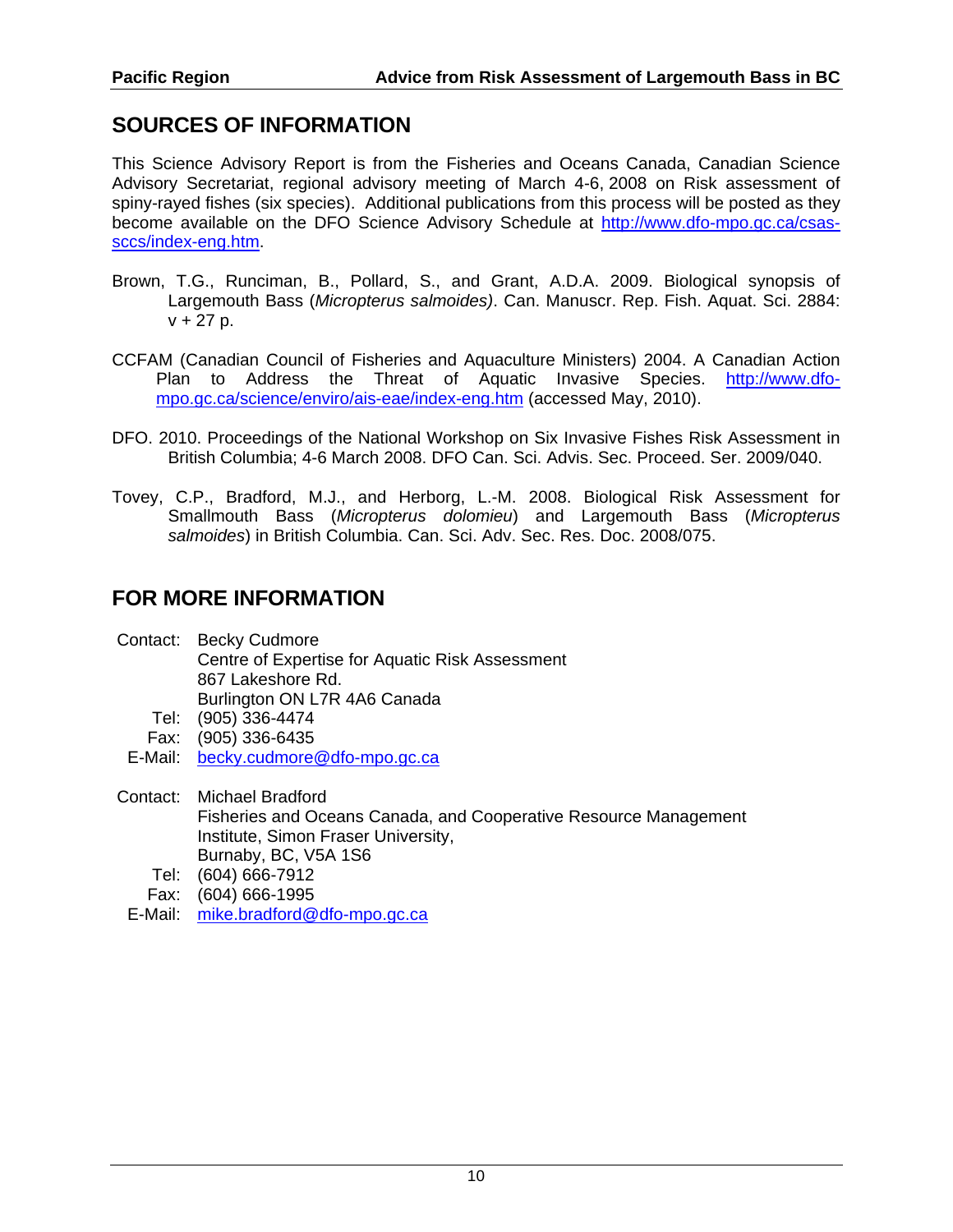### **SOURCES OF INFORMATION**

This Science Advisory Report is from the Fisheries and Oceans Canada, Canadian Science Advisory Secretariat, regional advisory meeting of March 4-6, 2008 on Risk assessment of spiny-rayed fishes (six species). Additional publications from this process will be posted as they become available on the DFO Science Advisory Schedule at http://www.dfo-mpo.gc.ca/csassccs/index-eng.htm.

- Brown, T.G., Runciman, B., Pollard, S., and Grant, A.D.A. 2009. Biological synopsis of Largemouth Bass (*Micropterus salmoides)*. Can. Manuscr. Rep. Fish. Aquat. Sci. 2884:  $v + 27 p$ .
- CCFAM (Canadian Council of Fisheries and Aquaculture Ministers) 2004. A Canadian Action Plan to Address the Threat of Aquatic Invasive Species. http://www.dfompo.gc.ca/science/enviro/ais-eae/index-eng.htm (accessed May, 2010).
- DFO. 2010. Proceedings of the National Workshop on Six Invasive Fishes Risk Assessment in British Columbia; 4-6 March 2008. DFO Can. Sci. Advis. Sec. Proceed. Ser. 2009/040.
- Tovey, C.P., Bradford, M.J., and Herborg, L.-M. 2008. Biological Risk Assessment for Smallmouth Bass (*Micropterus dolomieu*) and Largemouth Bass (*Micropterus salmoides*) in British Columbia. Can. Sci. Adv. Sec. Res. Doc. 2008/075.

### **FOR MORE INFORMATION**

- Contact: Becky Cudmore Centre of Expertise for Aquatic Risk Assessment 867 Lakeshore Rd. Burlington ON L7R 4A6 Canada
	- Tel: (905) 336-4474
	- Fax: (905) 336-6435
	- E-Mail: <u>becky.cudmore@dfo-mpo.gc.ca</u>
- Contact: Michael Bradford Fisheries and Oceans Canada, and Cooperative Resource Management Institute, Simon Fraser University, Burnaby, BC, V5A 1S6
	- Tel: (604) 666-7912
	- Fax: (604) 666-1995
	- E-Mail: mike.bradford@dfo-mpo.gc.ca